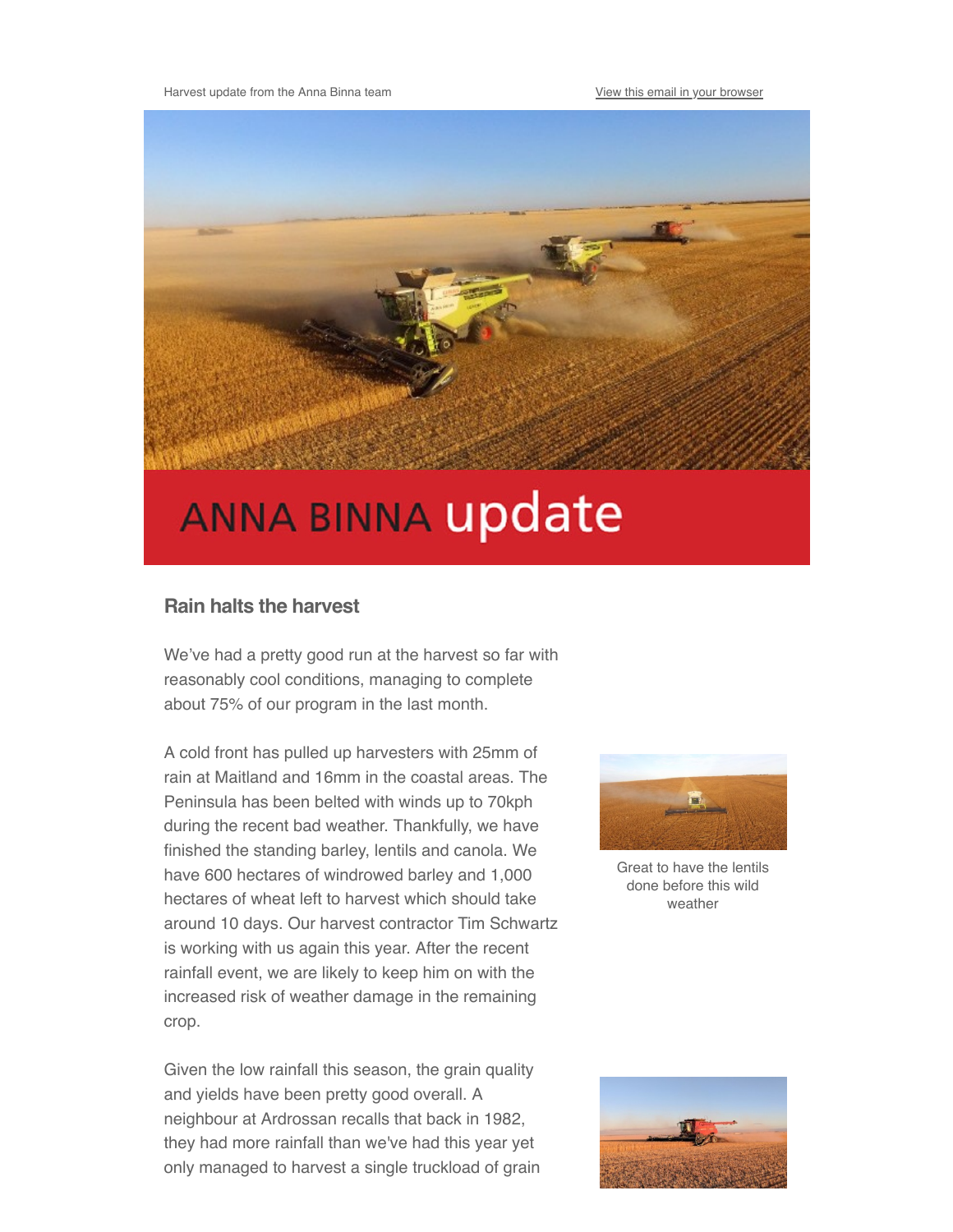

## **ANNA BINNA update**

## **Rain halts the harvest**

We've had a pretty good run at the harvest so far with reasonably cool conditions, managing to complete about 75% of our program in the last month.

A cold front has pulled up harvesters with 25mm of rain at Maitland and 16mm in the coastal areas. The Peninsula has been belted with winds up to 70kph during the recent bad weather. Thankfully, we have finished the standing barley, lentils and canola. We have 600 hectares of windrowed barley and 1,000 hectares of wheat left to harvest which should take around 10 days. Our harvest contractor Tim Schwartz is working with us again this year. After the recent rainfall event, we are likely to keep him on with the increased risk of weather damage in the remaining crop.

Given the low rainfall this season, the grain quality and yields have been pretty good overall. A neighbour at Ardrossan recalls that back in 1982, they had more rainfall than we've had this year yet only managed to harvest a single truckload of grain



Great to have the lentils done before this wild weather

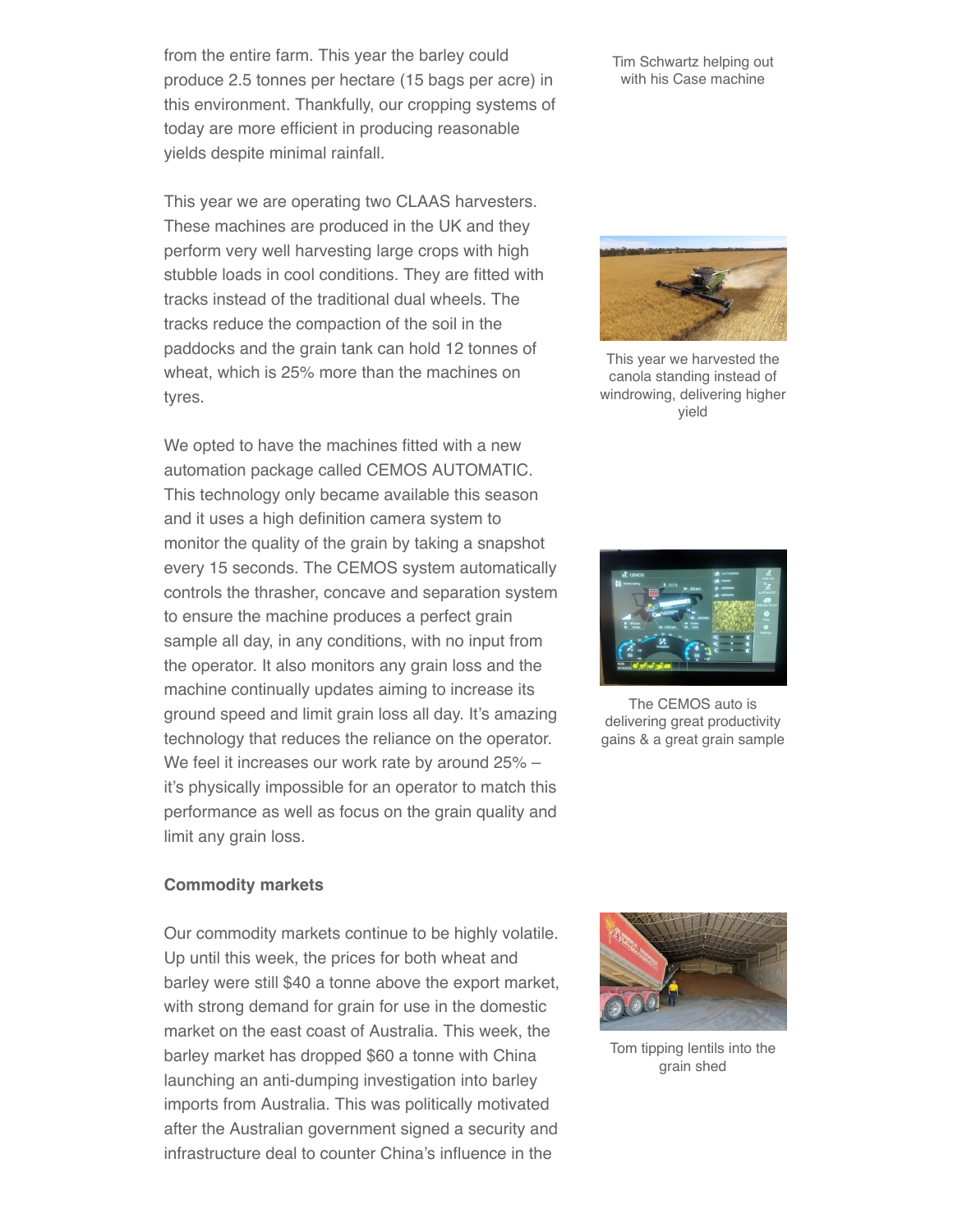from the entire farm. This year the barley could produce 2.5 tonnes per hectare (15 bags per acre) in this environment. Thankfully, our cropping systems of today are more efficient in producing reasonable yields despite minimal rainfall.

This year we are operating two CLAAS harvesters. These machines are produced in the UK and they perform very well harvesting large crops with high stubble loads in cool conditions. They are fitted with tracks instead of the traditional dual wheels. The tracks reduce the compaction of the soil in the paddocks and the grain tank can hold 12 tonnes of wheat, which is 25% more than the machines on tyres.

We opted to have the machines fitted with a new automation package called CEMOS AUTOMATIC. This technology only became available this season and it uses a high definition camera system to monitor the quality of the grain by taking a snapshot every 15 seconds. The CEMOS system automatically controls the thrasher, concave and separation system to ensure the machine produces a perfect grain sample all day, in any conditions, with no input from the operator. It also monitors any grain loss and the machine continually updates aiming to increase its ground speed and limit grain loss all day. It's amazing technology that reduces the reliance on the operator. We feel it increases our work rate by around 25% – it's physically impossible for an operator to match this performance as well as focus on the grain quality and limit any grain loss.

Tim Schwartz helping out with his Case machine



This year we harvested the canola standing instead of windrowing, delivering higher yield



The CEMOS auto is delivering great productivity gains & a great grain sample

## **Commodity markets**

Our commodity markets continue to be highly volatile. Up until this week, the prices for both wheat and barley were still \$40 a tonne above the export market, with strong demand for grain for use in the domestic market on the east coast of Australia. This week, the barley market has dropped \$60 a tonne with China launching an anti-dumping investigation into barley imports from Australia. This was politically motivated after the Australian government signed a security and infrastructure deal to counter China's influence in the



Tom tipping lentils into the grain shed